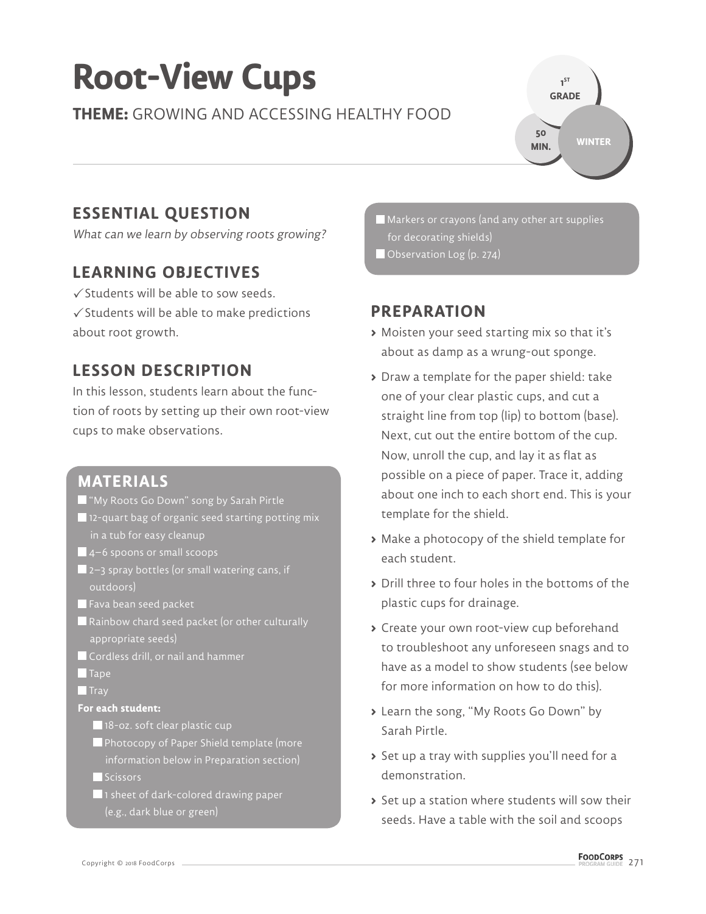# **Root-View Cups**

**THEME:** GROWING AND ACCESSING HEALTHY FOOD

**1 ST GRADE WINTER 50 MIN.**

### **ESSENTIAL QUESTION**

What can we learn by observing roots growing?

#### **LEARNING OBJECTIVES**

 $\sqrt{\frac{1}{2}}$  Students will be able to sow seeds.  $\checkmark$  Students will be able to make predictions about root growth.

#### **LESSON DESCRIPTION**

In this lesson, students learn about the function of roots by setting up their own root-view cups to make observations.

#### **MATERIALS**

- "My Roots Go Down" song by Sarah Pirtle
- **12-quart bag of organic seed starting potting mix** in a tub for easy cleanup
- $\blacksquare$  4–6 spoons or small scoops
- $\blacksquare$  2–3 spray bottles (or small watering cans, if outdoors)
- $\blacksquare$  Fava bean seed packet
- Rainbow chard seed packet (or other culturally appropriate seeds)
- **Cordless drill, or nail and hammer**
- $\blacksquare$  Tape
- $\blacksquare$  Tray

#### **For each student:**

- 18-oz. soft clear plastic cup
- Photocopy of Paper Shield template (more

Scissors

1 sheet of dark-colored drawing paper (e.g., dark blue or green)

 Markers or crayons (and any other art supplies for decorating shields)

Observation Log (p. 274)

#### **PREPARATION**

- **>** Moisten your seed starting mix so that it's about as damp as a wrung-out sponge.
- **>** Draw a template for the paper shield: take one of your clear plastic cups, and cut a straight line from top (lip) to bottom (base). Next, cut out the entire bottom of the cup. Now, unroll the cup, and lay it as flat as possible on a piece of paper. Trace it, adding about one inch to each short end. This is your template for the shield.
- **>** Make a photocopy of the shield template for each student.
- **>** Drill three to four holes in the bottoms of the plastic cups for drainage.
- **>** Create your own root-view cup beforehand to troubleshoot any unforeseen snags and to have as a model to show students (see below for more information on how to do this).
- **>** Learn the song, "My Roots Go Down" by Sarah Pirtle.
- **>** Set up a tray with supplies you'll need for a demonstration.
- **>** Set up a station where students will sow their seeds. Have a table with the soil and scoops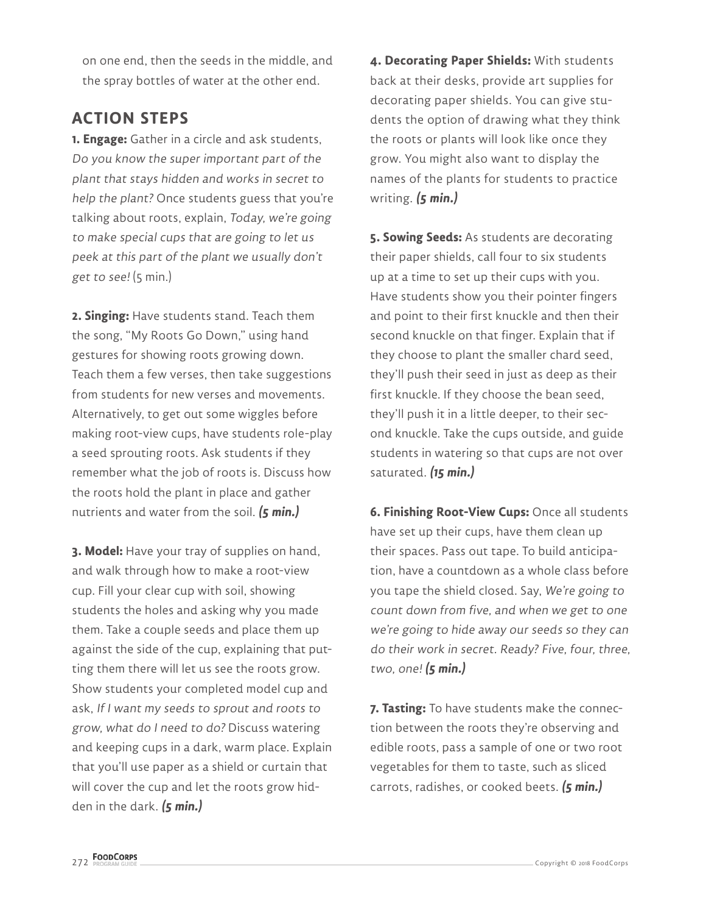on one end, then the seeds in the middle, and the spray bottles of water at the other end.

#### **ACTION STEPS**

**1. Engage:** Gather in a circle and ask students, Do you know the super important part of the plant that stays hidden and works in secret to help the plant? Once students guess that you're talking about roots, explain, Today, we're going to make special cups that are going to let us peek at this part of the plant we usually don't get to see!  $(5 \text{ min.})$ 

**2. Singing:** Have students stand. Teach them the song, "My Roots Go Down," using hand gestures for showing roots growing down. Teach them a few verses, then take suggestions from students for new verses and movements. Alternatively, to get out some wiggles before making root-view cups, have students role-play a seed sprouting roots. Ask students if they remember what the job of roots is. Discuss how the roots hold the plant in place and gather nutrients and water from the soil. **(5 min.)** 

**3. Model:** Have your tray of supplies on hand, and walk through how to make a root-view cup. Fill your clear cup with soil, showing students the holes and asking why you made them. Take a couple seeds and place them up against the side of the cup, explaining that putting them there will let us see the roots grow. Show students your completed model cup and ask, If I want my seeds to sprout and roots to grow, what do I need to do? Discuss watering and keeping cups in a dark, warm place. Explain that you'll use paper as a shield or curtain that will cover the cup and let the roots grow hidden in the dark. **(5 min.)**

**4. Decorating Paper Shields:** With students back at their desks, provide art supplies for decorating paper shields. You can give students the option of drawing what they think the roots or plants will look like once they grow. You might also want to display the names of the plants for students to practice writing. **(5 min.)**

**5. Sowing Seeds:** As students are decorating their paper shields, call four to six students up at a time to set up their cups with you. Have students show you their pointer fingers and point to their first knuckle and then their second knuckle on that finger. Explain that if they choose to plant the smaller chard seed, they'll push their seed in just as deep as their first knuckle. If they choose the bean seed, they'll push it in a little deeper, to their second knuckle. Take the cups outside, and guide students in watering so that cups are not over saturated. **(15 min.)**

**6. Finishing Root-View Cups:** Once all students have set up their cups, have them clean up their spaces. Pass out tape. To build anticipation, have a countdown as a whole class before you tape the shield closed. Say, We're going to count down from five, and when we get to one we're going to hide away our seeds so they can do their work in secret. Ready? Five, four, three, two, one! **(5 min.)**

**7. Tasting:** To have students make the connection between the roots they're observing and edible roots, pass a sample of one or two root vegetables for them to taste, such as sliced carrots, radishes, or cooked beets. **(5 min.)**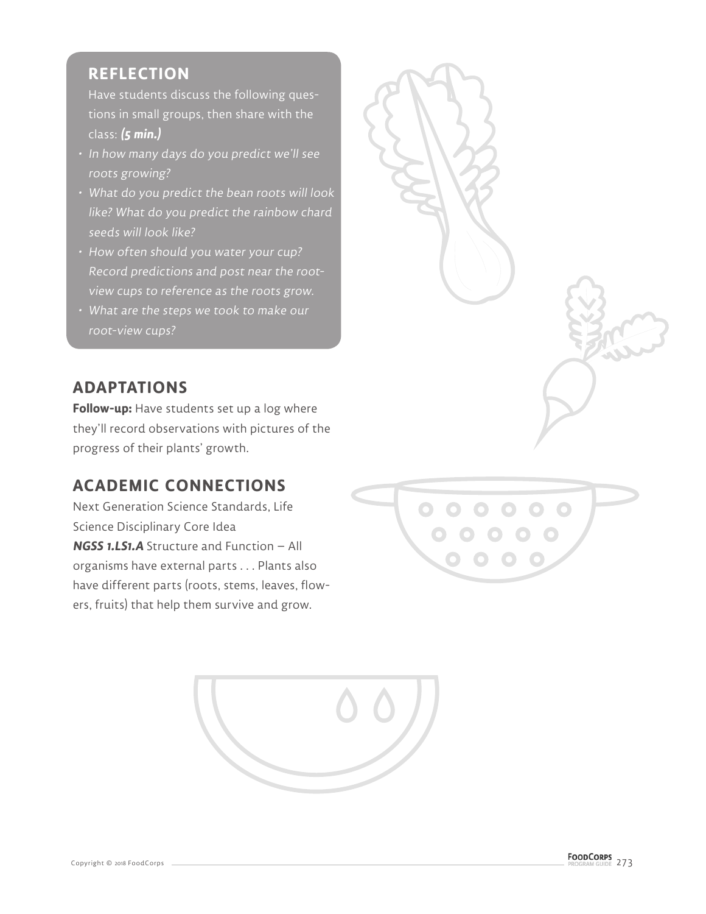#### **REFLECTION**

Have students discuss the following questions in small groups, then share with the class: **(5 min.)**

- In how many days do you predict we'll see roots growing?
- What do you predict the bean roots will look like? What do you predict the rainbow chard seeds will look like?
- How often should you water your cup? Record predictions and post near the rootview cups to reference as the roots grow.
- What are the steps we took to make our root-view cups?

#### **ADAPTATIONS**

**Follow-up:** Have students set up a log where they'll record observations with pictures of the progress of their plants' growth.

#### **ACADEMIC CONNECTIONS**

Next Generation Science Standards, Life Science Disciplinary Core Idea **NGSS 1.LS1.A** Structure and Function – All organisms have external parts . . . Plants also have different parts (roots, stems, leaves, flowers, fruits) that help them survive and grow.





Copyright © 2018 FoodCorps **Communication** Control Control of the Control Control Control Control Control Control Control Control Control Control Control Control Control Control Control Control Control Control Control Cont